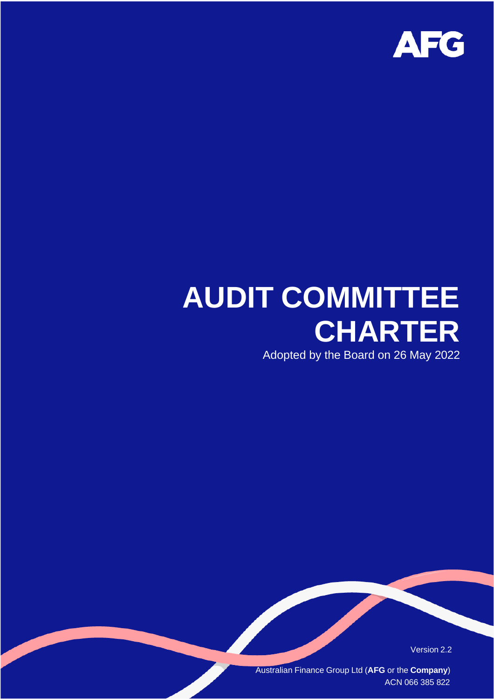

# **AUDIT COMMITTEE CHARTER**

Adopted by the Board on 26 May 2022

Version 2.2

Australian Finance Group Ltd (**AFG** or the **Company**) ACN 066 385 822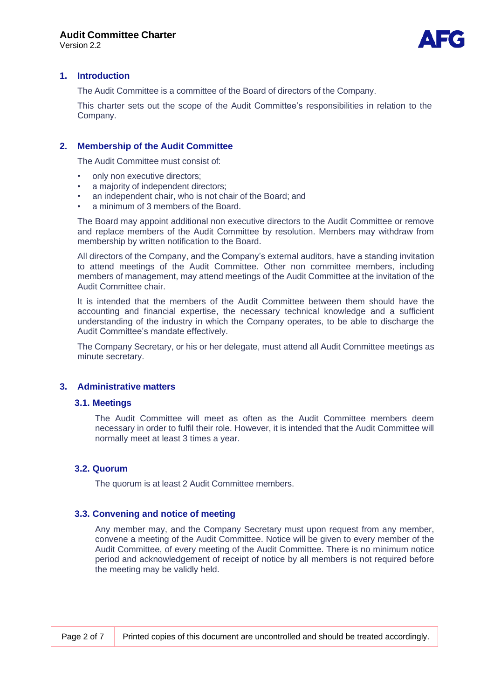Version 2.2



# **1. Introduction**

The Audit Committee is a committee of the Board of directors of the Company.

This charter sets out the scope of the Audit Committee's responsibilities in relation to the Company.

# **2. Membership of the Audit Committee**

The Audit Committee must consist of:

- only non executive directors;
- a majority of independent directors;
- an independent chair, who is not chair of the Board; and
- a minimum of 3 members of the Board.

The Board may appoint additional non executive directors to the Audit Committee or remove and replace members of the Audit Committee by resolution. Members may withdraw from membership by written notification to the Board.

All directors of the Company, and the Company's external auditors, have a standing invitation to attend meetings of the Audit Committee. Other non committee members, including members of management, may attend meetings of the Audit Committee at the invitation of the Audit Committee chair.

It is intended that the members of the Audit Committee between them should have the accounting and financial expertise, the necessary technical knowledge and a sufficient understanding of the industry in which the Company operates, to be able to discharge the Audit Committee's mandate effectively.

The Company Secretary, or his or her delegate, must attend all Audit Committee meetings as minute secretary.

#### **3. Administrative matters**

#### **3.1. Meetings**

The Audit Committee will meet as often as the Audit Committee members deem necessary in order to fulfil their role. However, it is intended that the Audit Committee will normally meet at least 3 times a year.

#### **3.2. Quorum**

The quorum is at least 2 Audit Committee members.

#### **3.3. Convening and notice of meeting**

Any member may, and the Company Secretary must upon request from any member, convene a meeting of the Audit Committee. Notice will be given to every member of the Audit Committee, of every meeting of the Audit Committee. There is no minimum notice period and acknowledgement of receipt of notice by all members is not required before the meeting may be validly held.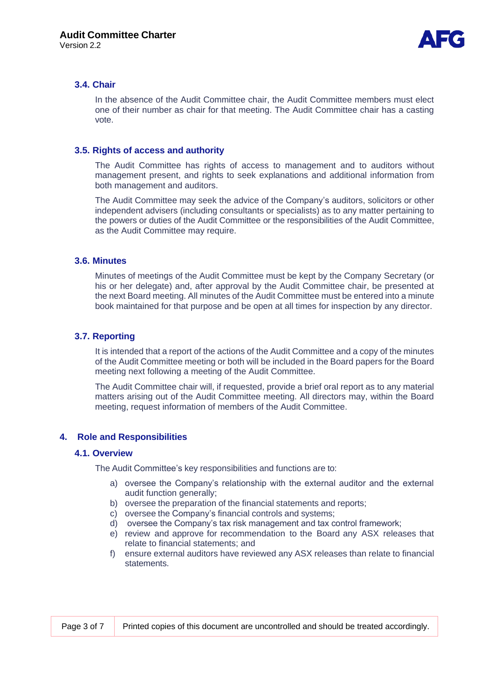

# **3.4. Chair**

In the absence of the Audit Committee chair, the Audit Committee members must elect one of their number as chair for that meeting. The Audit Committee chair has a casting vote.

# **3.5. Rights of access and authority**

The Audit Committee has rights of access to management and to auditors without management present, and rights to seek explanations and additional information from both management and auditors.

The Audit Committee may seek the advice of the Company's auditors, solicitors or other independent advisers (including consultants or specialists) as to any matter pertaining to the powers or duties of the Audit Committee or the responsibilities of the Audit Committee, as the Audit Committee may require.

# **3.6. Minutes**

Minutes of meetings of the Audit Committee must be kept by the Company Secretary (or his or her delegate) and, after approval by the Audit Committee chair, be presented at the next Board meeting. All minutes of the Audit Committee must be entered into a minute book maintained for that purpose and be open at all times for inspection by any director.

# **3.7. Reporting**

It is intended that a report of the actions of the Audit Committee and a copy of the minutes of the Audit Committee meeting or both will be included in the Board papers for the Board meeting next following a meeting of the Audit Committee.

The Audit Committee chair will, if requested, provide a brief oral report as to any material matters arising out of the Audit Committee meeting. All directors may, within the Board meeting, request information of members of the Audit Committee.

#### **4. Role and Responsibilities**

#### **4.1. Overview**

The Audit Committee's key responsibilities and functions are to:

- a) oversee the Company's relationship with the external auditor and the external audit function generally;
- b) oversee the preparation of the financial statements and reports;
- c) oversee the Company's financial controls and systems;
- d) oversee the Company's tax risk management and tax control framework;
- e) review and approve for recommendation to the Board any ASX releases that relate to financial statements; and
- f) ensure external auditors have reviewed any ASX releases than relate to financial statements.

| Page 3 of 7 | Printed copies of this document are uncontrolled and should be treated accordingly. |
|-------------|-------------------------------------------------------------------------------------|
|-------------|-------------------------------------------------------------------------------------|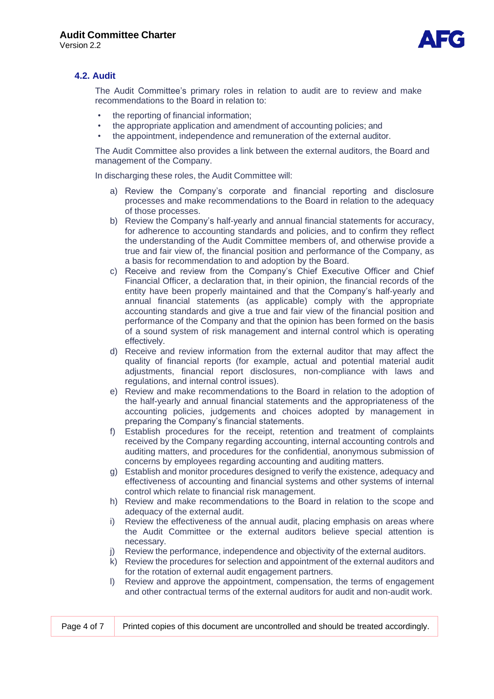Version 2.2



# **4.2. Audit**

The Audit Committee's primary roles in relation to audit are to review and make recommendations to the Board in relation to:

- the reporting of financial information;
- the appropriate application and amendment of accounting policies; and
- the appointment, independence and remuneration of the external auditor.

The Audit Committee also provides a link between the external auditors, the Board and management of the Company.

In discharging these roles, the Audit Committee will:

- a) Review the Company's corporate and financial reporting and disclosure processes and make recommendations to the Board in relation to the adequacy of those processes.
- b) Review the Company's half-yearly and annual financial statements for accuracy, for adherence to accounting standards and policies, and to confirm they reflect the understanding of the Audit Committee members of, and otherwise provide a true and fair view of, the financial position and performance of the Company, as a basis for recommendation to and adoption by the Board.
- c) Receive and review from the Company's Chief Executive Officer and Chief Financial Officer, a declaration that, in their opinion, the financial records of the entity have been properly maintained and that the Company's half-yearly and annual financial statements (as applicable) comply with the appropriate accounting standards and give a true and fair view of the financial position and performance of the Company and that the opinion has been formed on the basis of a sound system of risk management and internal control which is operating effectively.
- d) Receive and review information from the external auditor that may affect the quality of financial reports (for example, actual and potential material audit adjustments, financial report disclosures, non-compliance with laws and regulations, and internal control issues).
- e) Review and make recommendations to the Board in relation to the adoption of the half-yearly and annual financial statements and the appropriateness of the accounting policies, judgements and choices adopted by management in preparing the Company's financial statements.
- f) Establish procedures for the receipt, retention and treatment of complaints received by the Company regarding accounting, internal accounting controls and auditing matters, and procedures for the confidential, anonymous submission of concerns by employees regarding accounting and auditing matters.
- g) Establish and monitor procedures designed to verify the existence, adequacy and effectiveness of accounting and financial systems and other systems of internal control which relate to financial risk management.
- h) Review and make recommendations to the Board in relation to the scope and adequacy of the external audit.
- i) Review the effectiveness of the annual audit, placing emphasis on areas where the Audit Committee or the external auditors believe special attention is necessary.
- j) Review the performance, independence and objectivity of the external auditors.
- k) Review the procedures for selection and appointment of the external auditors and for the rotation of external audit engagement partners.
- l) Review and approve the appointment, compensation, the terms of engagement and other contractual terms of the external auditors for audit and non-audit work.

| Page 4 of 7 | Printed copies of this document are uncontrolled and should be treated accordingly. |
|-------------|-------------------------------------------------------------------------------------|
|-------------|-------------------------------------------------------------------------------------|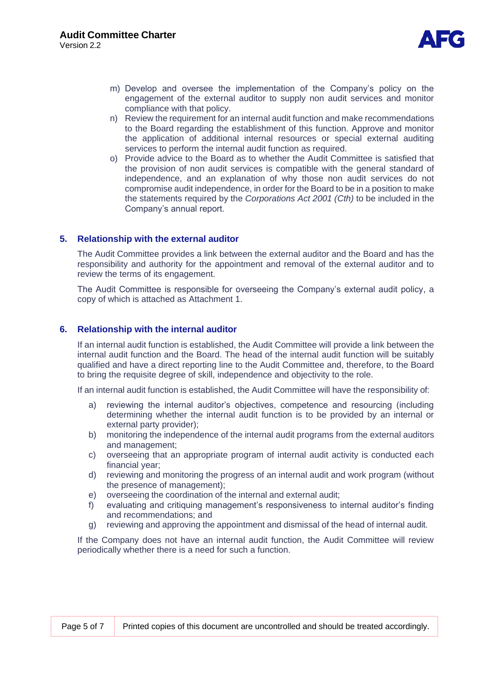

- m) Develop and oversee the implementation of the Company's policy on the engagement of the external auditor to supply non audit services and monitor compliance with that policy.
- n) Review the requirement for an internal audit function and make recommendations to the Board regarding the establishment of this function. Approve and monitor the application of additional internal resources or special external auditing services to perform the internal audit function as required.
- o) Provide advice to the Board as to whether the Audit Committee is satisfied that the provision of non audit services is compatible with the general standard of independence, and an explanation of why those non audit services do not compromise audit independence, in order for the Board to be in a position to make the statements required by the *Corporations Act 2001 (Cth)* to be included in the Company's annual report.

# **5. Relationship with the external auditor**

The Audit Committee provides a link between the external auditor and the Board and has the responsibility and authority for the appointment and removal of the external auditor and to review the terms of its engagement.

The Audit Committee is responsible for overseeing the Company's external audit policy, a copy of which is attached as Attachment 1.

# **6. Relationship with the internal auditor**

If an internal audit function is established, the Audit Committee will provide a link between the internal audit function and the Board. The head of the internal audit function will be suitably qualified and have a direct reporting line to the Audit Committee and, therefore, to the Board to bring the requisite degree of skill, independence and objectivity to the role.

If an internal audit function is established, the Audit Committee will have the responsibility of:

- a) reviewing the internal auditor's objectives, competence and resourcing (including determining whether the internal audit function is to be provided by an internal or external party provider);
- b) monitoring the independence of the internal audit programs from the external auditors and management;
- c) overseeing that an appropriate program of internal audit activity is conducted each financial year;
- d) reviewing and monitoring the progress of an internal audit and work program (without the presence of management);
- e) overseeing the coordination of the internal and external audit;
- f) evaluating and critiquing management's responsiveness to internal auditor's finding and recommendations; and
- g) reviewing and approving the appointment and dismissal of the head of internal audit.

If the Company does not have an internal audit function, the Audit Committee will review periodically whether there is a need for such a function.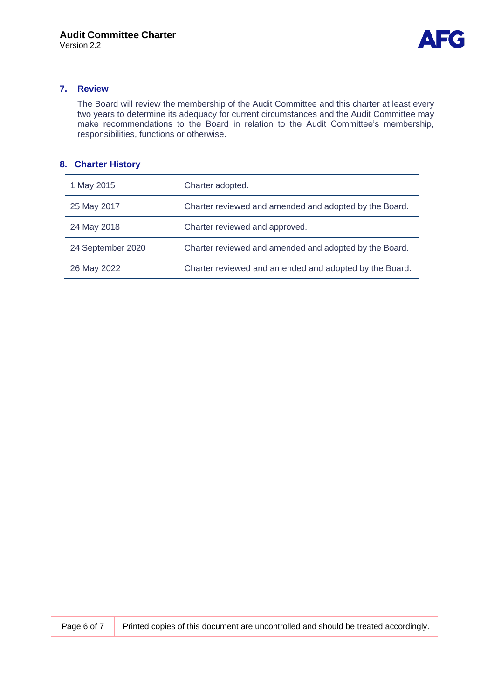

# **7. Review**

The Board will review the membership of the Audit Committee and this charter at least every two years to determine its adequacy for current circumstances and the Audit Committee may make recommendations to the Board in relation to the Audit Committee's membership, responsibilities, functions or otherwise.

# **8. Charter History**

| 1 May 2015        | Charter adopted.                                       |
|-------------------|--------------------------------------------------------|
| 25 May 2017       | Charter reviewed and amended and adopted by the Board. |
| 24 May 2018       | Charter reviewed and approved.                         |
| 24 September 2020 | Charter reviewed and amended and adopted by the Board. |
| 26 May 2022       | Charter reviewed and amended and adopted by the Board. |